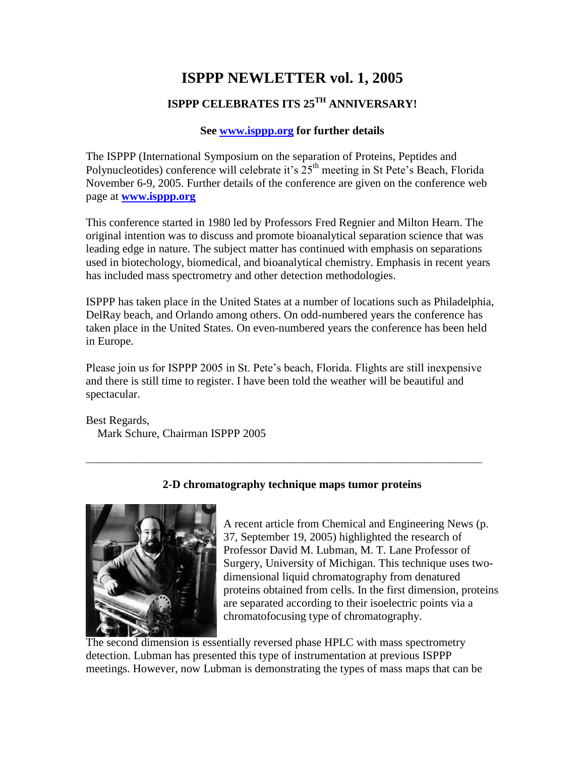# **ISPPP NEWLETTER vol. 1, 2005 ISPPP CELEBRATES ITS 25TH ANNIVERSARY!**

## **See www.isppp.org for further details**

The ISPPP (International Symposium on the separation of Proteins, Peptides and Polynucleotides) conference will celebrate it's  $25<sup>th</sup>$  meeting in St Pete's Beach, Florida November 6-9, 2005. Further details of the conference are given on the conference web page at **www.isppp.org**

This conference started in 1980 led by Professors Fred Regnier and Milton Hearn. The original intention was to discuss and promote bioanalytical separation science that was leading edge in nature. The subject matter has continued with emphasis on separations used in biotechology, biomedical, and bioanalytical chemistry. Emphasis in recent years has included mass spectrometry and other detection methodologies.

ISPPP has taken place in the United States at a number of locations such as Philadelphia, DelRay beach, and Orlando among others. On odd-numbered years the conference has taken place in the United States. On even-numbered years the conference has been held in Europe.

Please join us for ISPPP 2005 in St. Pete's beach, Florida. Flights are still inexpensive and there is still time to register. I have been told the weather will be beautiful and spectacular.

Best Regards, Mark Schure, Chairman ISPPP 2005



**2-D chromatography technique maps tumor proteins**

\_\_\_\_\_\_\_\_\_\_\_\_\_\_\_\_\_\_\_\_\_\_\_\_\_\_\_\_\_\_\_\_\_\_\_\_\_\_\_\_\_\_\_\_\_\_\_\_\_\_\_\_\_\_\_\_\_\_\_\_\_\_\_\_\_\_\_\_\_\_\_\_\_\_\_\_\_\_\_\_\_\_\_

A recent article from Chemical and Engineering News (p. 37, September 19, 2005) highlighted the research of Professor David M. Lubman, M. T. Lane Professor of Surgery, University of Michigan. This technique uses twodimensional liquid chromatography from denatured proteins obtained from cells. In the first dimension, proteins are separated according to their isoelectric points via a chromatofocusing type of chromatography.

The second dimension is essentially reversed phase HPLC with mass spectrometry detection. Lubman has presented this type of instrumentation at previous ISPPP meetings. However, now Lubman is demonstrating the types of mass maps that can be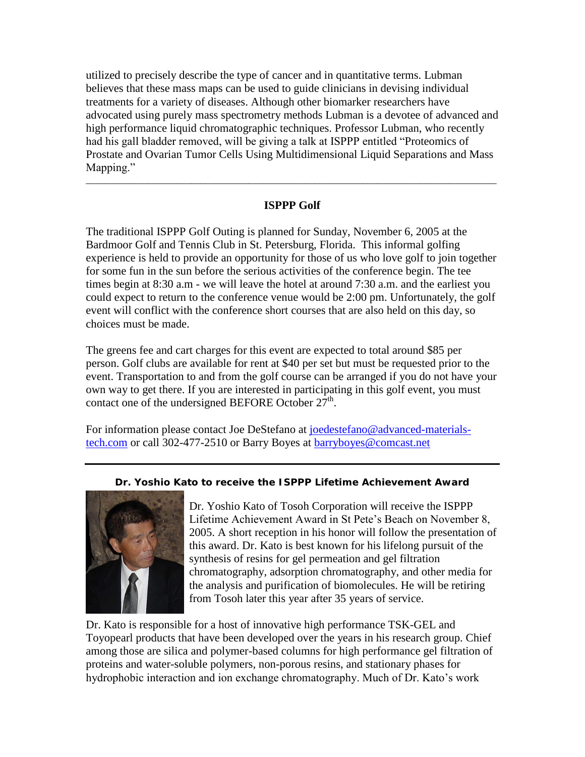utilized to precisely describe the type of cancer and in quantitative terms. Lubman believes that these mass maps can be used to guide clinicians in devising individual treatments for a variety of diseases. Although other biomarker researchers have advocated using purely mass spectrometry methods Lubman is a devotee of advanced and high performance liquid chromatographic techniques. Professor Lubman, who recently had his gall bladder removed, will be giving a talk at ISPPP entitled "Proteomics of Prostate and Ovarian Tumor Cells Using Multidimensional Liquid Separations and Mass Mapping."

## **ISPPP Golf**

\_\_\_\_\_\_\_\_\_\_\_\_\_\_\_\_\_\_\_\_\_\_\_\_\_\_\_\_\_\_\_\_\_\_\_\_\_\_\_\_\_\_\_\_\_\_\_\_\_\_\_\_\_\_\_\_\_\_\_\_\_\_\_\_\_\_\_\_\_\_\_\_\_\_\_\_\_\_\_\_\_\_\_\_\_\_

The traditional ISPPP Golf Outing is planned for Sunday, November 6, 2005 at the Bardmoor Golf and Tennis Club in St. Petersburg, Florida. This informal golfing experience is held to provide an opportunity for those of us who love golf to join together for some fun in the sun before the serious activities of the conference begin. The tee times begin at 8:30 a.m - we will leave the hotel at around 7:30 a.m. and the earliest you could expect to return to the conference venue would be 2:00 pm. Unfortunately, the golf event will conflict with the conference short courses that are also held on this day, so choices must be made.

The greens fee and cart charges for this event are expected to total around \$85 per person. Golf clubs are available for rent at \$40 per set but must be requested prior to the event. Transportation to and from the golf course can be arranged if you do not have your own way to get there. If you are interested in participating in this golf event, you must contact one of the undersigned BEFORE October  $27<sup>th</sup>$ .

For information please contact Joe DeStefano at joedestefano@advanced-materialstech.com or call 302-477-2510 or Barry Boyes at barryboyes@comcast.net

**Dr. Yoshio Kato to receive the ISPPP Lifetime Achievement Award**



Dr. Yoshio Kato of Tosoh Corporation will receive the ISPPP Lifetime Achievement Award in St Pete's Beach on November 8, 2005. A short reception in his honor will follow the presentation of this award. Dr. Kato is best known for his lifelong pursuit of the synthesis of resins for gel permeation and gel filtration chromatography, adsorption chromatography, and other media for the analysis and purification of biomolecules. He will be retiring from Tosoh later this year after 35 years of service.

Dr. Kato is responsible for a host of innovative high performance TSK-GEL and Toyopearl products that have been developed over the years in his research group. Chief among those are silica and polymer-based columns for high performance gel filtration of proteins and water-soluble polymers, non-porous resins, and stationary phases for hydrophobic interaction and ion exchange chromatography. Much of Dr. Kato's work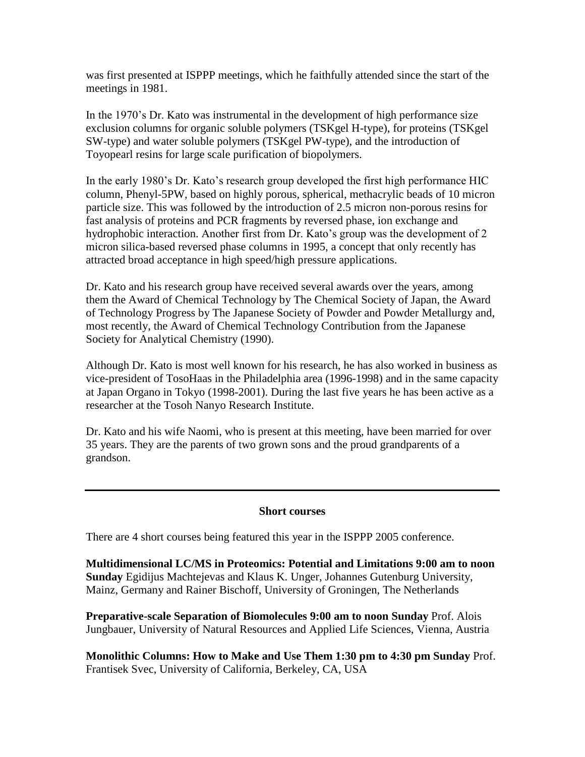was first presented at ISPPP meetings, which he faithfully attended since the start of the meetings in 1981.

In the 1970's Dr. Kato was instrumental in the development of high performance size exclusion columns for organic soluble polymers (TSKgel H-type), for proteins (TSKgel SW-type) and water soluble polymers (TSKgel PW-type), and the introduction of Toyopearl resins for large scale purification of biopolymers.

In the early 1980's Dr. Kato's research group developed the first high performance HIC column, Phenyl-5PW, based on highly porous, spherical, methacrylic beads of 10 micron particle size. This was followed by the introduction of 2.5 micron non-porous resins for fast analysis of proteins and PCR fragments by reversed phase, ion exchange and hydrophobic interaction. Another first from Dr. Kato's group was the development of 2 micron silica-based reversed phase columns in 1995, a concept that only recently has attracted broad acceptance in high speed/high pressure applications.

Dr. Kato and his research group have received several awards over the years, among them the Award of Chemical Technology by The Chemical Society of Japan, the Award of Technology Progress by The Japanese Society of Powder and Powder Metallurgy and, most recently, the Award of Chemical Technology Contribution from the Japanese Society for Analytical Chemistry (1990).

Although Dr. Kato is most well known for his research, he has also worked in business as vice-president of TosoHaas in the Philadelphia area (1996-1998) and in the same capacity at Japan Organo in Tokyo (1998-2001). During the last five years he has been active as a researcher at the Tosoh Nanyo Research Institute.

Dr. Kato and his wife Naomi, who is present at this meeting, have been married for over 35 years. They are the parents of two grown sons and the proud grandparents of a grandson.

#### **Short courses**

There are 4 short courses being featured this year in the ISPPP 2005 conference.

**Multidimensional LC/MS in Proteomics: Potential and Limitations 9:00 am to noon Sunday** Egidijus Machtejevas and Klaus K. Unger, Johannes Gutenburg University, Mainz, Germany and Rainer Bischoff, University of Groningen, The Netherlands

**Preparative-scale Separation of Biomolecules 9:00 am to noon Sunday** Prof. Alois Jungbauer, University of Natural Resources and Applied Life Sciences, Vienna, Austria

**Monolithic Columns: How to Make and Use Them 1:30 pm to 4:30 pm Sunday** Prof. Frantisek Svec, University of California, Berkeley, CA, USA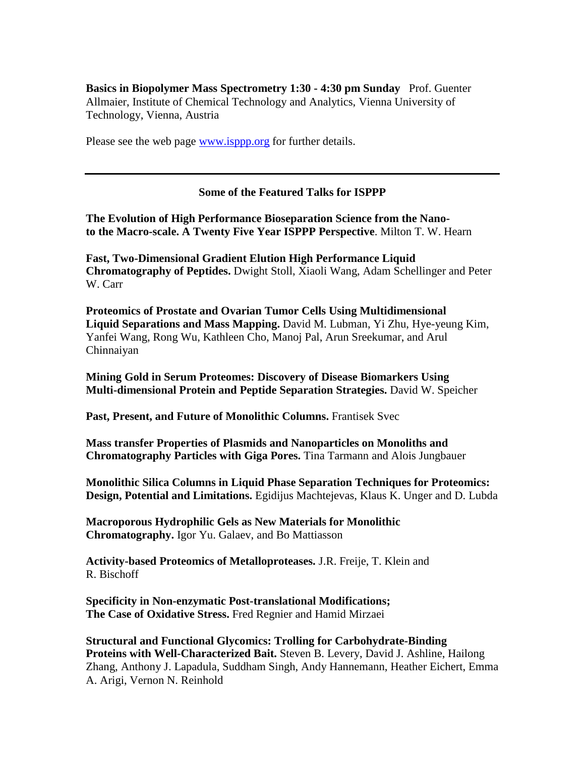**Basics in Biopolymer Mass Spectrometry 1:30 - 4:30 pm Sunday** Prof. Guenter Allmaier, Institute of Chemical Technology and Analytics, Vienna University of Technology, Vienna, Austria

Please see the web page www.isppp.org for further details.

#### **Some of the Featured Talks for ISPPP**

**The Evolution of High Performance Bioseparation Science from the Nanoto the Macro-scale. A Twenty Five Year ISPPP Perspective**. Milton T. W. Hearn

**Fast, Two-Dimensional Gradient Elution High Performance Liquid Chromatography of Peptides.** Dwight Stoll, Xiaoli Wang, Adam Schellinger and Peter W. Carr

**Proteomics of Prostate and Ovarian Tumor Cells Using Multidimensional Liquid Separations and Mass Mapping.** David M. Lubman, Yi Zhu, Hye-yeung Kim, Yanfei Wang, Rong Wu, Kathleen Cho, Manoj Pal, Arun Sreekumar, and Arul Chinnaiyan

**Mining Gold in Serum Proteomes: Discovery of Disease Biomarkers Using Multi-dimensional Protein and Peptide Separation Strategies.** David W. Speicher

Past, Present, and Future of Monolithic Columns. Frantisek Svec

**Mass transfer Properties of Plasmids and Nanoparticles on Monoliths and Chromatography Particles with Giga Pores.** Tina Tarmann and Alois Jungbauer

**Monolithic Silica Columns in Liquid Phase Separation Techniques for Proteomics: Design, Potential and Limitations.** Egidijus Machtejevas, Klaus K. Unger and D. Lubda

**Macroporous Hydrophilic Gels as New Materials for Monolithic Chromatography.** Igor Yu. Galaev, and Bo Mattiasson

**Activity-based Proteomics of Metalloproteases.** J.R. Freije, T. Klein and R. Bischoff

**Specificity in Non-enzymatic Post-translational Modifications; The Case of Oxidative Stress.** Fred Regnier and Hamid Mirzaei

**Structural and Functional Glycomics: Trolling for Carbohydrate-Binding Proteins with Well-Characterized Bait.** Steven B. Levery, David J. Ashline, Hailong Zhang, Anthony J. Lapadula, Suddham Singh, Andy Hannemann, Heather Eichert, Emma A. Arigi, Vernon N. Reinhold